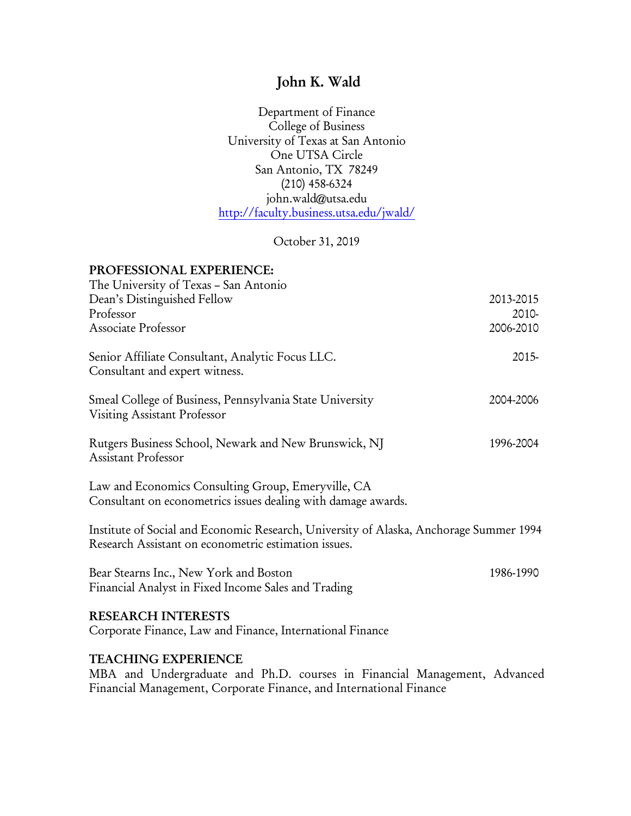# John K. Wald

Department of Finance College of Business University of Texas at San Antonio One UTSA Circle San Antonio, TX 78249 (210) 458-6324 john.wald@utsa.edu http://faculty.business.utsa.edu/jwald/

October 31, 2019

# PROFESSIONAL EXPERIENCE: The University of Texas – San Antonio Dean's Distinguished Fellow 2013-2015 Professor 2010- Associate Professor 2006-2010 Senior Affiliate Consultant, Analytic Focus LLC. 2015- Consultant and expert witness. Smeal College of Business, Pennsylvania State University 2004-2006 Visiting Assistant Professor Rutgers Business School, Newark and New Brunswick, NJ 1996-2004 Assistant Professor Law and Economics Consulting Group, Emeryville, CA Consultant on econometrics issues dealing with damage awards. Institute of Social and Economic Research, University of Alaska, Anchorage Summer 1994 Research Assistant on econometric estimation issues. Bear Stearns Inc., New York and Boston 1986-1990 Financial Analyst in Fixed Income Sales and Trading RESEARCH INTERESTS Corporate Finance, Law and Finance, International Finance TEACHING EXPERIENCE MBA and Undergraduate and Ph.D. courses in Financial Management, Advanced Financial Management, Corporate Finance, and International Finance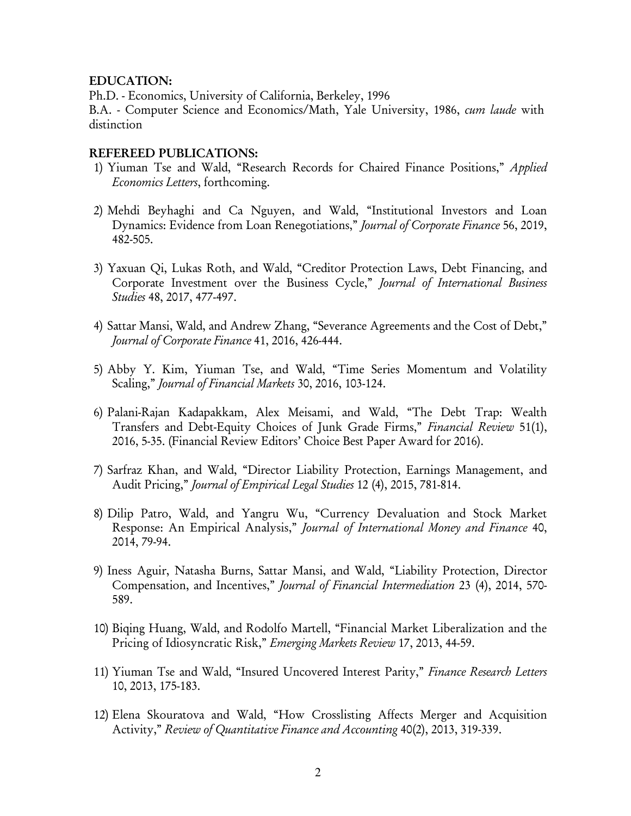#### EDUCATION:

Ph.D. - Economics, University of California, Berkeley, 1996

B.A. - Computer Science and Economics/Math, Yale University, 1986, *cum laude* with distinction

#### REFEREED PUBLICATIONS:

- 1) Yiuman Tse and Wald, "Research Records for Chaired Finance Positions," *Applied Economics Letters*, forthcoming.
- 2) Mehdi Beyhaghi and Ca Nguyen, and Wald, "Institutional Investors and Loan Dynamics: Evidence from Loan Renegotiations," *Journal of Corporate Finance* 56, 2019, 482-505.
- 3) Yaxuan Qi, Lukas Roth, and Wald, "Creditor Protection Laws, Debt Financing, and Corporate Investment over the Business Cycle," *Journal of International Business Studies* 48, 2017, 477-497.
- 4) Sattar Mansi, Wald, and Andrew Zhang, "Severance Agreements and the Cost of Debt," *Journal of Corporate Finance* 41, 2016, 426-444.
- 5) Abby Y. Kim, Yiuman Tse, and Wald, "Time Series Momentum and Volatility Scaling," *Journal of Financial Markets* 30, 2016, 103-124.
- 6) Palani-Rajan Kadapakkam, Alex Meisami, and Wald, "The Debt Trap: Wealth Transfers and Debt-Equity Choices of Junk Grade Firms," *Financial Review* 51(1), 2016, 5-35. (Financial Review Editors' Choice Best Paper Award for 2016).
- 7) Sarfraz Khan, and Wald, "Director Liability Protection, Earnings Management, and Audit Pricing," *Journal of Empirical Legal Studies* 12 (4), 2015, 781-814.
- 8) Dilip Patro, Wald, and Yangru Wu, "Currency Devaluation and Stock Market Response: An Empirical Analysis," *Journal of International Money and Finance* 40, 2014, 79-94.
- 9) Iness Aguir, Natasha Burns, Sattar Mansi, and Wald, "Liability Protection, Director Compensation, and Incentives," *Journal of Financial Intermediation* 23 (4), 2014, 570- 589.
- 10) Biqing Huang, Wald, and Rodolfo Martell, "Financial Market Liberalization and the Pricing of Idiosyncratic Risk," *Emerging Markets Review* 17, 2013, 44-59.
- 11) Yiuman Tse and Wald, "Insured Uncovered Interest Parity," *Finance Research Letters* 10, 2013, 175-183.
- 12) Elena Skouratova and Wald, "How Crosslisting Affects Merger and Acquisition Activity," *Review of Quantitative Finance and Accounting* 40(2), 2013, 319-339.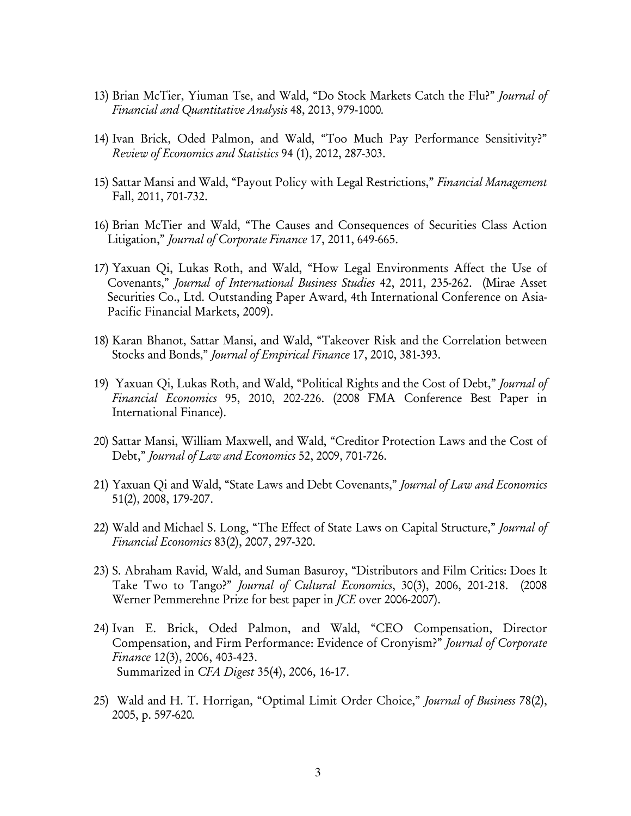- 13) Brian McTier, Yiuman Tse, and Wald, "Do Stock Markets Catch the Flu?" *Journal of Financial and Quantitative Analysis* 48, 2013, 979-1000*.*
- 14) Ivan Brick, Oded Palmon, and Wald, "Too Much Pay Performance Sensitivity?" *Review of Economics and Statistics* 94 (1), 2012, 287-303.
- 15) Sattar Mansi and Wald, "Payout Policy with Legal Restrictions," *Financial Management* Fall, 2011, 701-732.
- 16) Brian McTier and Wald, "The Causes and Consequences of Securities Class Action Litigation," *Journal of Corporate Finance* 17, 2011, 649-665.
- 17) Yaxuan Qi, Lukas Roth, and Wald, "How Legal Environments Affect the Use of Covenants," *Journal of International Business Studies* 42, 2011, 235-262. (Mirae Asset Securities Co., Ltd. Outstanding Paper Award, 4th International Conference on Asia-Pacific Financial Markets, 2009).
- 18) Karan Bhanot, Sattar Mansi, and Wald, "Takeover Risk and the Correlation between Stocks and Bonds," *Journal of Empirical Finance* 17, 2010, 381-393.
- 19) Yaxuan Qi, Lukas Roth, and Wald, "Political Rights and the Cost of Debt," *Journal of Financial Economics* 95, 2010, 202-226. (2008 FMA Conference Best Paper in International Finance).
- 20) Sattar Mansi, William Maxwell, and Wald, "Creditor Protection Laws and the Cost of Debt," *Journal of Law and Economics* 52, 2009, 701-726.
- 21) Yaxuan Qi and Wald, "State Laws and Debt Covenants," *Journal of Law and Economics*  51(2), 2008, 179-207.
- 22) Wald and Michael S. Long, "The Effect of State Laws on Capital Structure," *Journal of Financial Economics* 83(2), 2007, 297-320.
- 23) S. Abraham Ravid, Wald, and Suman Basuroy, "Distributors and Film Critics: Does It Take Two to Tango?" *Journal of Cultural Economics*, 30(3), 2006, 201-218. (2008 Werner Pemmerehne Prize for best paper in *JCE* over 2006-2007).
- 24) Ivan E. Brick, Oded Palmon, and Wald, "CEO Compensation, Director Compensation, and Firm Performance: Evidence of Cronyism?" *Journal of Corporate Finance* 12(3), 2006, 403-423. Summarized in *CFA Digest* 35(4), 2006, 16-17.
- 25) Wald and H. T. Horrigan, "Optimal Limit Order Choice," *Journal of Business* 78(2), 2005, p. 597-620*.*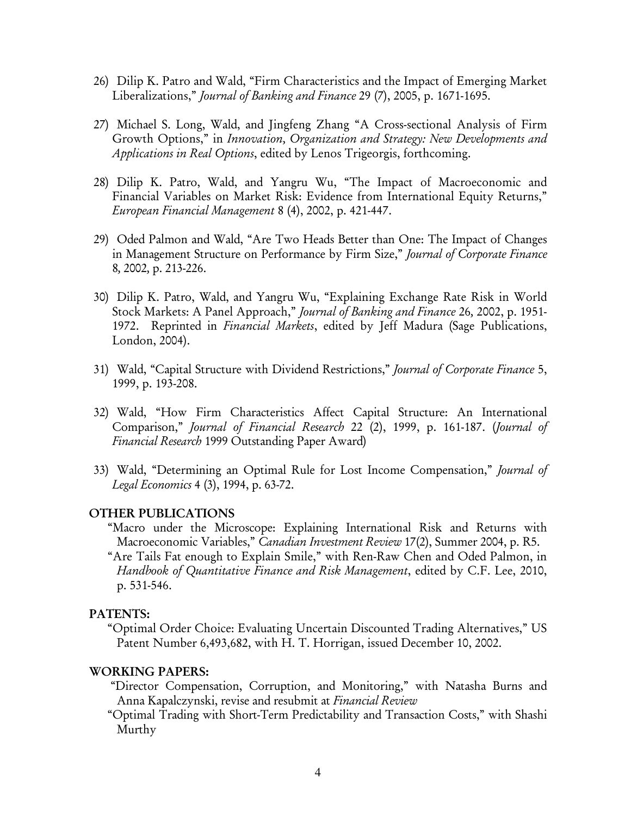- 26) Dilip K. Patro and Wald, "Firm Characteristics and the Impact of Emerging Market Liberalizations," *Journal of Banking and Finance* 29 (7), 2005, p. 1671-1695.
- 27) Michael S. Long, Wald, and Jingfeng Zhang "A Cross-sectional Analysis of Firm Growth Options," in *Innovation, Organization and Strategy: New Developments and Applications in Real Options*, edited by Lenos Trigeorgis, forthcoming.
- 28) Dilip K. Patro, Wald, and Yangru Wu, "The Impact of Macroeconomic and Financial Variables on Market Risk: Evidence from International Equity Returns," *European Financial Management* 8 (4), 2002, p. 421-447.
- 29) Oded Palmon and Wald, "Are Two Heads Better than One: The Impact of Changes in Management Structure on Performance by Firm Size," *Journal of Corporate Finance*  8*,* 2002*,* p. 213-226.
- 30) Dilip K. Patro, Wald, and Yangru Wu, "Explaining Exchange Rate Risk in World Stock Markets: A Panel Approach," *Journal of Banking and Finance* 26*,* 2002, p. 1951- 1972. Reprinted in *Financial Markets*, edited by Jeff Madura (Sage Publications, London, 2004).
- 31) Wald, "Capital Structure with Dividend Restrictions," *Journal of Corporate Finance* 5, 1999, p. 193-208.
- 32) Wald, "How Firm Characteristics Affect Capital Structure: An International Comparison," *Journal of Financial Research* 22 (2), 1999, p. 161-187. (*Journal of Financial Research* 1999 Outstanding Paper Award)
- 33) Wald, "Determining an Optimal Rule for Lost Income Compensation," *Journal of Legal Economics* 4 (3), 1994, p. 63-72.

#### OTHER PUBLICATIONS

"Macro under the Microscope: Explaining International Risk and Returns with Macroeconomic Variables," *Canadian Investment Review* 17(2), Summer 2004, p. R5. "Are Tails Fat enough to Explain Smile," with Ren-Raw Chen and Oded Palmon, in *Handbook of Quantitative Finance and Risk Management*, edited by C.F. Lee, 2010, p. 531-546.

#### PATENTS:

"Optimal Order Choice: Evaluating Uncertain Discounted Trading Alternatives," US Patent Number 6,493,682, with H. T. Horrigan, issued December 10, 2002.

#### WORKING PAPERS:

 "Director Compensation, Corruption, and Monitoring," with Natasha Burns and Anna Kapalczynski, revise and resubmit at *Financial Review* 

 "Optimal Trading with Short-Term Predictability and Transaction Costs," with Shashi Murthy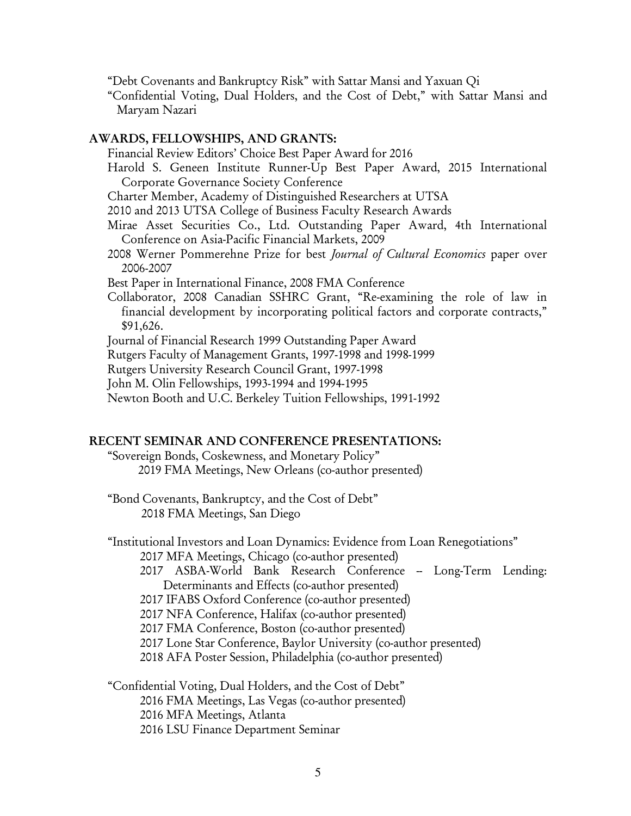"Debt Covenants and Bankruptcy Risk" with Sattar Mansi and Yaxuan Qi

 "Confidential Voting, Dual Holders, and the Cost of Debt," with Sattar Mansi and Maryam Nazari

## AWARDS, FELLOWSHIPS, AND GRANTS:

Financial Review Editors' Choice Best Paper Award for 2016

- Harold S. Geneen Institute Runner-Up Best Paper Award, 2015 International Corporate Governance Society Conference
- Charter Member, Academy of Distinguished Researchers at UTSA

2010 and 2013 UTSA College of Business Faculty Research Awards

- Mirae Asset Securities Co., Ltd. Outstanding Paper Award, 4th International Conference on Asia-Pacific Financial Markets, 2009
- 2008 Werner Pommerehne Prize for best *Journal of Cultural Economics* paper over 2006-2007

Best Paper in International Finance, 2008 FMA Conference

Collaborator, 2008 Canadian SSHRC Grant, "Re-examining the role of law in financial development by incorporating political factors and corporate contracts," \$91,626.

Journal of Financial Research 1999 Outstanding Paper Award

Rutgers Faculty of Management Grants, 1997-1998 and 1998-1999

Rutgers University Research Council Grant, 1997-1998

John M. Olin Fellowships, 1993-1994 and 1994-1995

Newton Booth and U.C. Berkeley Tuition Fellowships, 1991-1992

### RECENT SEMINAR AND CONFERENCE PRESENTATIONS:

"Sovereign Bonds, Coskewness, and Monetary Policy" 2019 FMA Meetings, New Orleans (co-author presented)

"Bond Covenants, Bankruptcy, and the Cost of Debt" 2018 FMA Meetings, San Diego

"Institutional Investors and Loan Dynamics: Evidence from Loan Renegotiations" 2017 MFA Meetings, Chicago (co-author presented)

- 2017 ASBA-World Bank Research Conference Long-Term Lending: Determinants and Effects (co-author presented)
- 2017 IFABS Oxford Conference (co-author presented)

2017 NFA Conference, Halifax (co-author presented)

2017 FMA Conference, Boston (co-author presented)

2017 Lone Star Conference, Baylor University (co-author presented)

2018 AFA Poster Session, Philadelphia (co-author presented)

"Confidential Voting, Dual Holders, and the Cost of Debt" 2016 FMA Meetings, Las Vegas (co-author presented) 2016 MFA Meetings, Atlanta 2016 LSU Finance Department Seminar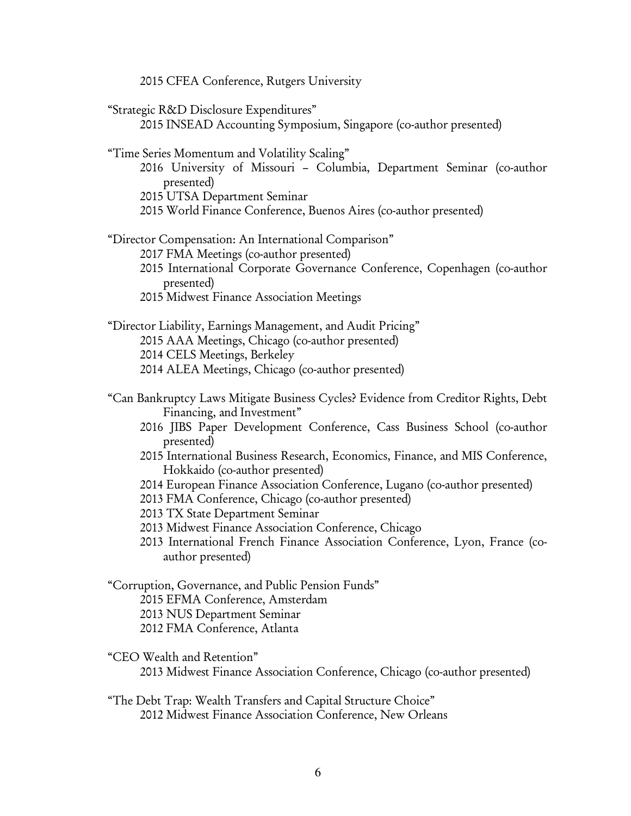2015 CFEA Conference, Rutgers University

| "Strategic R&D Disclosure Expenditures"<br>2015 INSEAD Accounting Symposium, Singapore (co-author presented)                                                                                                                                                                                                                                                                                                                                                                                                                                                                                                                                                     |
|------------------------------------------------------------------------------------------------------------------------------------------------------------------------------------------------------------------------------------------------------------------------------------------------------------------------------------------------------------------------------------------------------------------------------------------------------------------------------------------------------------------------------------------------------------------------------------------------------------------------------------------------------------------|
| "Time Series Momentum and Volatility Scaling"<br>2016 University of Missouri - Columbia, Department Seminar (co-author<br>presented)<br>2015 UTSA Department Seminar<br>2015 World Finance Conference, Buenos Aires (co-author presented)                                                                                                                                                                                                                                                                                                                                                                                                                        |
| "Director Compensation: An International Comparison"<br>2017 FMA Meetings (co-author presented)<br>2015 International Corporate Governance Conference, Copenhagen (co-author<br>presented)<br>2015 Midwest Finance Association Meetings                                                                                                                                                                                                                                                                                                                                                                                                                          |
| "Director Liability, Earnings Management, and Audit Pricing"<br>2015 AAA Meetings, Chicago (co-author presented)<br>2014 CELS Meetings, Berkeley<br>2014 ALEA Meetings, Chicago (co-author presented)                                                                                                                                                                                                                                                                                                                                                                                                                                                            |
| "Can Bankruptcy Laws Mitigate Business Cycles? Evidence from Creditor Rights, Debt<br>Financing, and Investment"<br>2016 JIBS Paper Development Conference, Cass Business School (co-author<br>presented)<br>2015 International Business Research, Economics, Finance, and MIS Conference,<br>Hokkaido (co-author presented)<br>2014 European Finance Association Conference, Lugano (co-author presented)<br>2013 FMA Conference, Chicago (co-author presented)<br>2013 TX State Department Seminar<br>2013 Midwest Finance Association Conference, Chicago<br>2013 International French Finance Association Conference, Lyon, France (co-<br>author presented) |
| "Corruption, Governance, and Public Pension Funds"<br>2015 EFMA Conference, Amsterdam<br>2013 NUS Department Seminar<br>2012 FMA Conference, Atlanta                                                                                                                                                                                                                                                                                                                                                                                                                                                                                                             |
| "CEO Wealth and Retention"<br>2013 Midwest Finance Association Conference, Chicago (co-author presented)                                                                                                                                                                                                                                                                                                                                                                                                                                                                                                                                                         |
| "The Debt Trap: Wealth Transfers and Capital Structure Choice"<br>2012 Midwest Finance Association Conference, New Orleans                                                                                                                                                                                                                                                                                                                                                                                                                                                                                                                                       |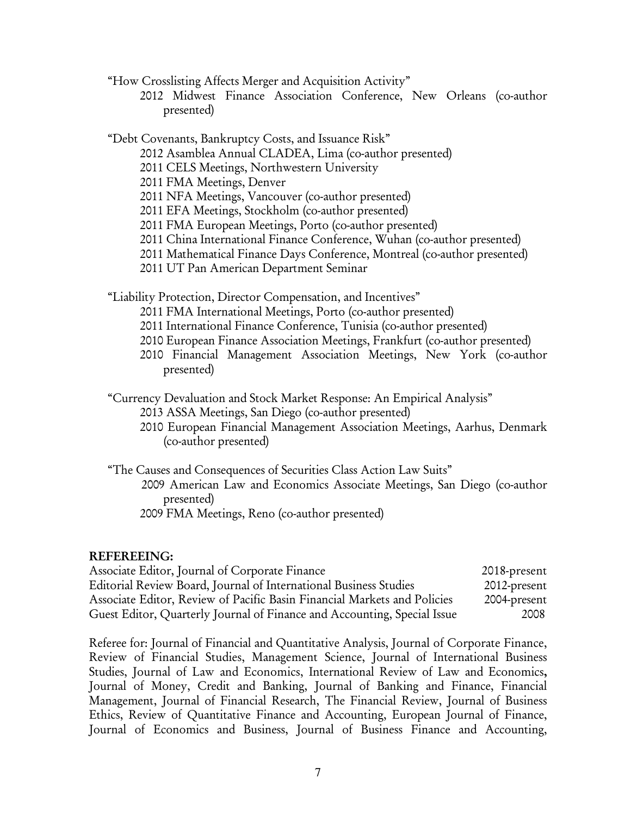"How Crosslisting Affects Merger and Acquisition Activity"

 2012 Midwest Finance Association Conference, New Orleans (co-author presented)

"Debt Covenants, Bankruptcy Costs, and Issuance Risk"

- 2012 Asamblea Annual CLADEA, Lima (co-author presented)
- 2011 CELS Meetings, Northwestern University
- 2011 FMA Meetings, Denver
- 2011 NFA Meetings, Vancouver (co-author presented)
- 2011 EFA Meetings, Stockholm (co-author presented)
- 2011 FMA European Meetings, Porto (co-author presented)
- 2011 China International Finance Conference, Wuhan (co-author presented)
- 2011 Mathematical Finance Days Conference, Montreal (co-author presented)
- 2011 UT Pan American Department Seminar

"Liability Protection, Director Compensation, and Incentives"

- 2011 FMA International Meetings, Porto (co-author presented)
- 2011 International Finance Conference, Tunisia (co-author presented)
- 2010 European Finance Association Meetings, Frankfurt (co-author presented)
- 2010 Financial Management Association Meetings, New York (co-author presented)
- "Currency Devaluation and Stock Market Response: An Empirical Analysis"
	- 2013 ASSA Meetings, San Diego (co-author presented)
	- 2010 European Financial Management Association Meetings, Aarhus, Denmark (co-author presented)
- "The Causes and Consequences of Securities Class Action Law Suits"
	- 2009 American Law and Economics Associate Meetings, San Diego (co-author presented)
		- 2009 FMA Meetings, Reno (co-author presented)

# REFEREEING:

| Associate Editor, Journal of Corporate Finance                           | 2018-present |
|--------------------------------------------------------------------------|--------------|
| Editorial Review Board, Journal of International Business Studies        | 2012-present |
| Associate Editor, Review of Pacific Basin Financial Markets and Policies | 2004-present |
| Guest Editor, Quarterly Journal of Finance and Accounting, Special Issue | 2008         |

Referee for: Journal of Financial and Quantitative Analysis, Journal of Corporate Finance, Review of Financial Studies, Management Science, Journal of International Business Studies, Journal of Law and Economics, International Review of Law and Economics, Journal of Money, Credit and Banking, Journal of Banking and Finance, Financial Management, Journal of Financial Research, The Financial Review, Journal of Business Ethics, Review of Quantitative Finance and Accounting, European Journal of Finance, Journal of Economics and Business, Journal of Business Finance and Accounting,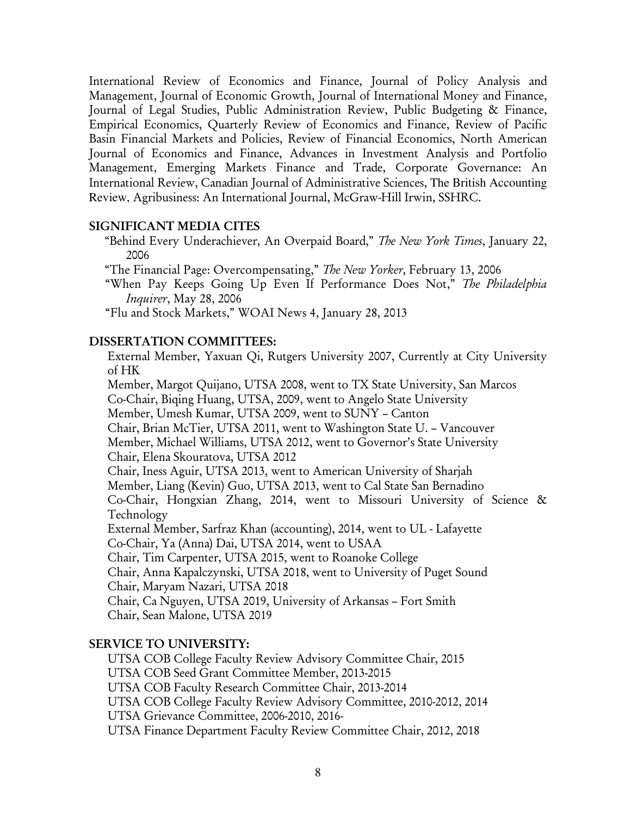International Review of Economics and Finance, Journal of Policy Analysis and Management, Journal of Economic Growth, Journal of International Money and Finance, Journal of Legal Studies, Public Administration Review, Public Budgeting & Finance, Empirical Economics, Quarterly Review of Economics and Finance, Review of Pacific Basin Financial Markets and Policies, Review of Financial Economics, North American Journal of Economics and Finance, Advances in Investment Analysis and Portfolio Management, Emerging Markets Finance and Trade, Corporate Governance: An International Review, Canadian Journal of Administrative Sciences, The British Accounting Review, Agribusiness: An International Journal, McGraw-Hill Irwin, SSHRC.

#### SIGNIFICANT MEDIA CITES

 "Behind Every Underachiever, An Overpaid Board," *The New York Times*, January 22, 2006

"The Financial Page: Overcompensating," *The New Yorker,* February 13, 2006

 "When Pay Keeps Going Up Even If Performance Does Not," *The Philadelphia Inquirer*, May 28, 2006

"Flu and Stock Markets," WOAI News 4, January 28, 2013

#### DISSERTATION COMMITTEES:

External Member, Yaxuan Qi, Rutgers University 2007, Currently at City University of HK Member, Margot Quijano, UTSA 2008, went to TX State University, San Marcos Co-Chair, Biqing Huang, UTSA, 2009, went to Angelo State University Member, Umesh Kumar, UTSA 2009, went to SUNY – Canton Chair, Brian McTier, UTSA 2011, went to Washington State U. – Vancouver Member, Michael Williams, UTSA 2012, went to Governor's State University Chair, Elena Skouratova, UTSA 2012 Chair, Iness Aguir, UTSA 2013, went to American University of Sharjah Member, Liang (Kevin) Guo, UTSA 2013, went to Cal State San Bernadino Co-Chair, Hongxian Zhang, 2014, went to Missouri University of Science & Technology External Member, Sarfraz Khan (accounting), 2014, went to UL - Lafayette Co-Chair, Ya (Anna) Dai, UTSA 2014, went to USAA Chair, Tim Carpenter, UTSA 2015, went to Roanoke College Chair, Anna Kapalczynski, UTSA 2018, went to University of Puget Sound Chair, Maryam Nazari, UTSA 2018 Chair, Ca Nguyen, UTSA 2019, University of Arkansas – Fort Smith Chair, Sean Malone, UTSA 2019

#### SERVICE TO UNIVERSITY:

UTSA COB College Faculty Review Advisory Committee Chair, 2015 UTSA COB Seed Grant Committee Member, 2013-2015 UTSA COB Faculty Research Committee Chair, 2013-2014 UTSA COB College Faculty Review Advisory Committee, 2010-2012, 2014 UTSA Grievance Committee, 2006-2010, 2016- UTSA Finance Department Faculty Review Committee Chair, 2012, 2018